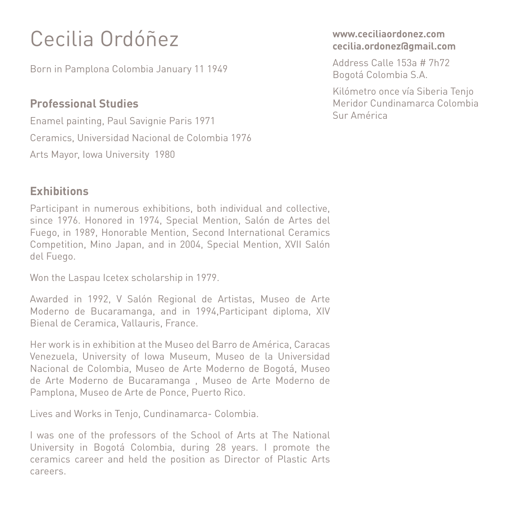# Cecilia Ordóñez

Born in Pamplona Colombia January 11 1949

## **Professional Studies**

Enamel painting, Paul Savignie Paris 1971 Ceramics, Universidad Nacional de Colombia 1976 Arts Mayor, Iowa University 1980

## **Exhibitions**

Participant in numerous exhibitions, both individual and collective, since 1976. Honored in 1974, Special Mention, Salón de Artes del Fuego, in 1989, Honorable Mention, Second International Ceramics Competition, Mino Japan, and in 2004, Special Mention, XVII Salón del Fuego.

Won the Laspau Icetex scholarship in 1979.

Awarded in 1992, V Salón Regional de Artistas, Museo de Arte Moderno de Bucaramanga, and in 1994,Participant diploma, XIV Bienal de Ceramica, Vallauris, France.

Her work is in exhibition at the Museo del Barro de América, Caracas Venezuela, University of Iowa Museum, Museo de la Universidad Nacional de Colombia, Museo de Arte Moderno de Bogotá, Museo de Arte Moderno de Bucaramanga , Museo de Arte Moderno de Pamplona, Museo de Arte de Ponce, Puerto Rico.

Lives and Works in Tenjo, Cundinamarca- Colombia.

I was one of the professors of the School of Arts at The National University in Bogotá Colombia, during 28 years. I promote the ceramics career and held the position as Director of Plastic Arts careers.

#### **www.ceciliaordonez.com cecilia.ordonez@gmail.com**

Address Calle 153a # 7h72 Bogotá Colombia S.A.

Kilómetro once vía Siberia Tenjo Meridor Cundinamarca Colombia Sur América